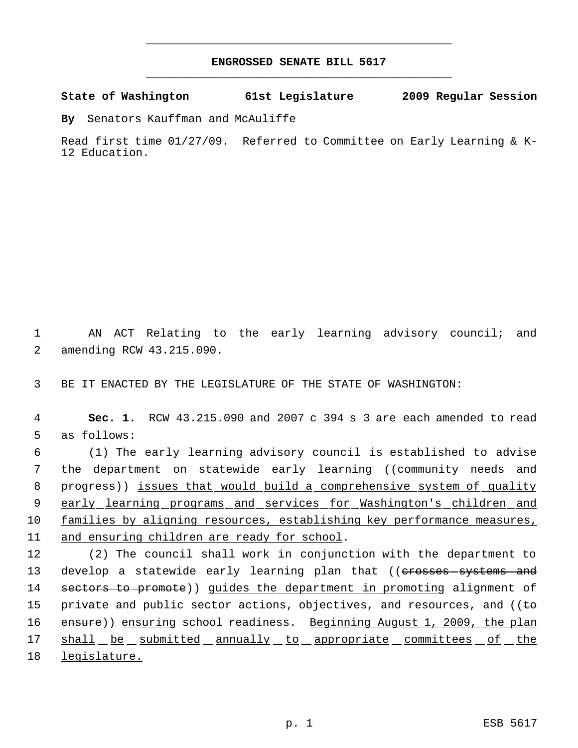## **ENGROSSED SENATE BILL 5617** \_\_\_\_\_\_\_\_\_\_\_\_\_\_\_\_\_\_\_\_\_\_\_\_\_\_\_\_\_\_\_\_\_\_\_\_\_\_\_\_\_\_\_\_\_

\_\_\_\_\_\_\_\_\_\_\_\_\_\_\_\_\_\_\_\_\_\_\_\_\_\_\_\_\_\_\_\_\_\_\_\_\_\_\_\_\_\_\_\_\_

**State of Washington 61st Legislature 2009 Regular Session**

**By** Senators Kauffman and McAuliffe

Read first time 01/27/09. Referred to Committee on Early Learning & K-12 Education.

 1 AN ACT Relating to the early learning advisory council; and 2 amending RCW 43.215.090.

3 BE IT ENACTED BY THE LEGISLATURE OF THE STATE OF WASHINGTON:

 4 **Sec. 1.** RCW 43.215.090 and 2007 c 394 s 3 are each amended to read 5 as follows:

 6 (1) The early learning advisory council is established to advise 7 the department on statewide early learning ((community-needs-and 8 progress)) issues that would build a comprehensive system of quality 9 early learning programs and services for Washington's children and 10 families by aligning resources, establishing key performance measures, 11 and ensuring children are ready for school.

12 (2) The council shall work in conjunction with the department to 13 develop a statewide early learning plan that ((erosses-systems-and 14 sectors to promote)) guides the department in promoting alignment of 15 private and public sector actions, objectives, and resources, and ( $\epsilon$ 16 ensure)) ensuring school readiness. Beginning August 1, 2009, the plan 17 shall be submitted annually to appropriate committees of the 18 legislature.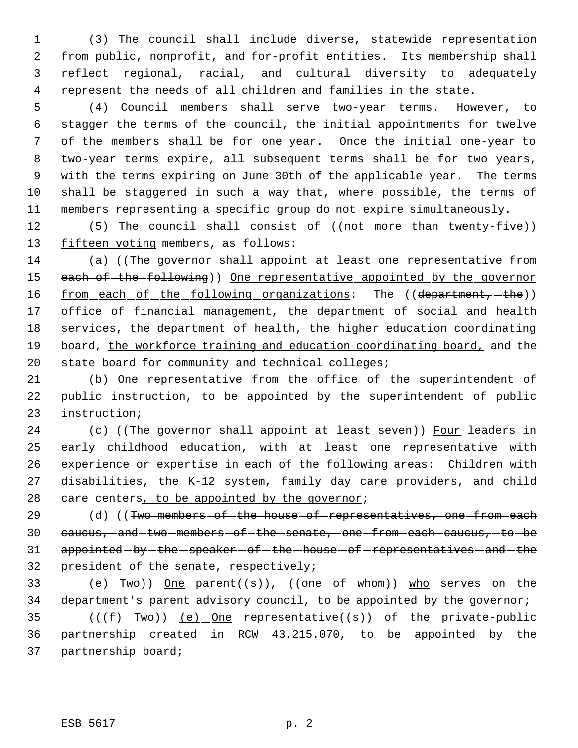(3) The council shall include diverse, statewide representation from public, nonprofit, and for-profit entities. Its membership shall reflect regional, racial, and cultural diversity to adequately represent the needs of all children and families in the state.

 (4) Council members shall serve two-year terms. However, to stagger the terms of the council, the initial appointments for twelve of the members shall be for one year. Once the initial one-year to two-year terms expire, all subsequent terms shall be for two years, with the terms expiring on June 30th of the applicable year. The terms shall be staggered in such a way that, where possible, the terms of members representing a specific group do not expire simultaneously.

12 (5) The council shall consist of ((not more than twenty five)) 13 fifteen voting members, as follows:

14 (a) ((The governor shall appoint at least one representative from 15 each of the following)) One representative appointed by the governor 16 <u>from each of the following organizations</u>: The ((department, -the)) office of financial management, the department of social and health services, the department of health, the higher education coordinating board, the workforce training and education coordinating board, and the state board for community and technical colleges;

 (b) One representative from the office of the superintendent of public instruction, to be appointed by the superintendent of public instruction;

24 (c) ((The governor shall appoint at least seven)) Four leaders in early childhood education, with at least one representative with experience or expertise in each of the following areas: Children with disabilities, the K-12 system, family day care providers, and child 28 care centers, to be appointed by the governor;

29 (d) ((Two members of the house of representatives, one from each 30 caucus, and two members of the senate, one from each caucus, to be 31 appointed - by - the - speaker - of - the - house - of - representatives - and - the 32 president of the senate, respectively;

33  $(e)$ -Two)) One parent((s)), ((one-of-whom)) who serves on the department's parent advisory council, to be appointed by the governor;

35 ( $(\overline{f} - \overline{f}w\theta)$ ) <u>(e) One</u> representative((s)) of the private-public partnership created in RCW 43.215.070, to be appointed by the partnership board;